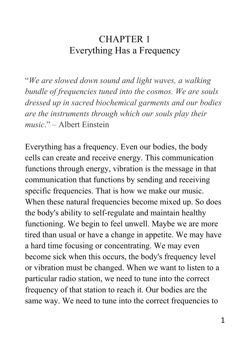## CHAPTER 1 Everything Has a Frequency

"*We are slowed down sound and light waves, a walking bundle of frequencies tuned into the cosmos. We are souls dressed up in sacred biochemical garments and our bodies are the instruments through which our souls play their music*." – Albert Einstein

Everything has a frequency. Even our bodies, the body cells can create and receive energy. This communication functions through energy, vibration is the message in that communication that functions by sending and receiving specific frequencies. That is how we make our music. When these natural frequencies become mixed up. So does the body's ability to self-regulate and maintain healthy functioning. We begin to feel unwell. Maybe we are more tired than usual or have a change in appetite. We may have a hard time focusing or concentrating. We may even become sick when this occurs, the body's frequency level or vibration must be changed. When we want to listen to a particular radio station, we need to tune into the correct frequency of that station to reach it. Our bodies are the same way. We need to tune into the correct frequencies to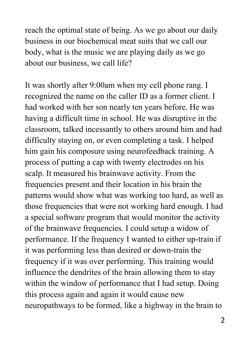reach the optimal state of being. As we go about our daily business in our biochemical meat suits that we call our body, what is the music we are playing daily as we go about our business, we call life?

It was shortly after 9:00am when my cell phone rang. I recognized the name on the caller ID as a former client. I had worked with her son nearly ten years before. He was having a difficult time in school. He was disruptive in the classroom, talked incessantly to others around him and had difficulty staying on, or even completing a task. I helped him gain his composure using neurofeedback training. A process of putting a cap with twenty electrodes on his scalp. It measured his brainwave activity. From the frequencies present and their location in his brain the patterns would show what was working too hard, as well as those frequencies that were not working hard enough. I had a special software program that would monitor the activity of the brainwave frequencies. I could setup a widow of performance. If the frequency I wanted to either up-train if it was performing less than desired or down-train the frequency if it was over performing. This training would influence the dendrites of the brain allowing them to stay within the window of performance that I had setup. Doing this process again and again it would cause new neuropathways to be formed, like a highway in the brain to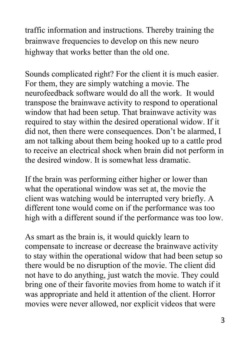traffic information and instructions. Thereby training the brainwave frequencies to develop on this new neuro highway that works better than the old one.

Sounds complicated right? For the client it is much easier. For them, they are simply watching a movie. The neurofeedback software would do all the work. It would transpose the brainwave activity to respond to operational window that had been setup. That brainwave activity was required to stay within the desired operational widow. If it did not, then there were consequences. Don't be alarmed, I am not talking about them being hooked up to a cattle prod to receive an electrical shock when brain did not perform in the desired window. It is somewhat less dramatic.

If the brain was performing either higher or lower than what the operational window was set at, the movie the client was watching would be interrupted very briefly. A different tone would come on if the performance was too high with a different sound if the performance was too low.

As smart as the brain is, it would quickly learn to compensate to increase or decrease the brainwave activity to stay within the operational widow that had been setup so there would be no disruption of the movie. The client did not have to do anything, just watch the movie. They could bring one of their favorite movies from home to watch if it was appropriate and held it attention of the client. Horror movies were never allowed, nor explicit videos that were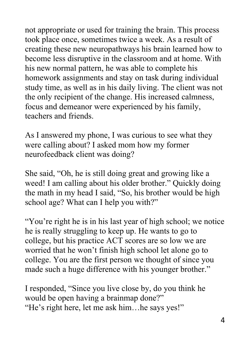not appropriate or used for training the brain. This process took place once, sometimes twice a week. As a result of creating these new neuropathways his brain learned how to become less disruptive in the classroom and at home. With his new normal pattern, he was able to complete his homework assignments and stay on task during individual study time, as well as in his daily living. The client was not the only recipient of the change. His increased calmness, focus and demeanor were experienced by his family, teachers and friends.

As I answered my phone, I was curious to see what they were calling about? I asked mom how my former neurofeedback client was doing?

She said, "Oh, he is still doing great and growing like a weed! I am calling about his older brother." Quickly doing the math in my head I said, "So, his brother would be high school age? What can I help you with?"

"You're right he is in his last year of high school; we notice he is really struggling to keep up. He wants to go to college, but his practice ACT scores are so low we are worried that he won't finish high school let alone go to college. You are the first person we thought of since you made such a huge difference with his younger brother."

I responded, "Since you live close by, do you think he would be open having a brainmap done?" "He's right here, let me ask him…he says yes!"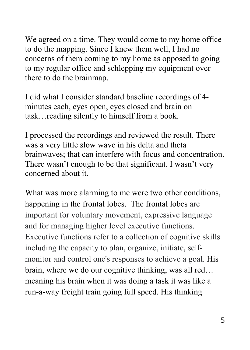We agreed on a time. They would come to my home office to do the mapping. Since I knew them well, I had no concerns of them coming to my home as opposed to going to my regular office and schlepping my equipment over there to do the brainmap.

I did what I consider standard baseline recordings of 4 minutes each, eyes open, eyes closed and brain on task…reading silently to himself from a book.

I processed the recordings and reviewed the result. There was a very little slow wave in his delta and theta brainwaves; that can interfere with focus and concentration. There wasn't enough to be that significant. I wasn't very concerned about it.

What was more alarming to me were two other conditions, happening in the frontal lobes. The frontal lobes are important for voluntary movement, expressive language and for managing higher level executive functions. Executive functions refer to a collection of cognitive skills including the capacity to plan, organize, initiate, selfmonitor and control one's responses to achieve a goal. His brain, where we do our cognitive thinking, was all red… meaning his brain when it was doing a task it was like a run-a-way freight train going full speed. His thinking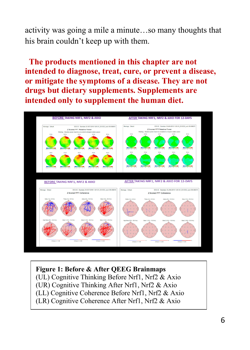activity was going a mile a minute…so many thoughts that his brain couldn't keep up with them.

**The products mentioned in this chapter are not intended to diagnose, treat, cure, or prevent a disease, or mitigate the symptoms of a disease. They are not drugs but dietary supplements. Supplements are intended only to supplement the human diet.** 



#### **Figure 1: Before & After QEEG Brainmaps**

(UL) Cognitive Thinking Before Nrf1, Nrf2 & Axio (UR) Cognitive Thinking After Nrf1, Nrf2 & Axio (LL) Cognitive Coherence Before Nrf1, Nrf2 & Axio (LR) Cognitive Coherence After Nrf1, Nrf2 & Axio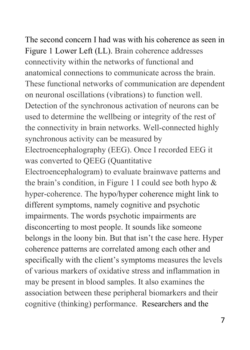The second concern I had was with his coherence as seen in Figure 1 Lower Left (LL). Brain coherence addresses connectivity within the networks of functional and anatomical connections to communicate across the brain. These functional networks of communication are dependent on neuronal oscillations (vibrations) to function well. Detection of the synchronous activation of neurons can be used to determine the wellbeing or integrity of the rest of the connectivity in brain networks. Well-connected highly synchronous activity can be measured by Electroencephalography (EEG). Once I recorded EEG it was converted to QEEG (Quantitative Electroencephalogram) to evaluate brainwave patterns and the brain's condition, in Figure 1 I could see both hypo & hyper-coherence. The hypo/hyper coherence might link to different symptoms, namely cognitive and psychotic impairments. The words psychotic impairments are disconcerting to most people. It sounds like someone belongs in the loony bin. But that isn't the case here. Hyper coherence patterns are correlated among each other and specifically with the client's symptoms measures the levels of various markers of oxidative stress and inflammation in

may be present in blood samples. It also examines the association between these peripheral biomarkers and their cognitive (thinking) performance. Researchers and the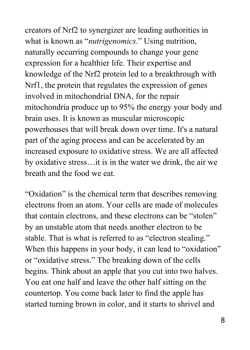creators of Nrf2 to synergizer are leading authorities in what is known as "*nutrigenomics.*" Using nutrition, naturally occurring compounds to change your gene expression for a healthier life. Their expertise and knowledge of the Nrf2 protein led to a breakthrough with Nrf1, the protein that regulates the expression of genes involved in mitochondrial DNA, for the repair mitochondria produce up to 95% the energy your body and brain uses. It is known as muscular microscopic powerhouses that will break down over time. It's a natural part of the aging process and can be accelerated by an increased exposure to oxidative stress. We are all affected by oxidative stress…it is in the water we drink, the air we breath and the food we eat.

"Oxidation" is the chemical term that describes removing electrons from an atom. Your cells are made of molecules that contain electrons, and these electrons can be "stolen" by an unstable atom that needs another electron to be stable. That is what is referred to as "electron stealing." When this happens in your body, it can lead to "oxidation" or "oxidative stress." The breaking down of the cells begins. Think about an apple that you cut into two halves. You eat one half and leave the other half sitting on the countertop. You come back later to find the apple has started turning brown in color, and it starts to shrivel and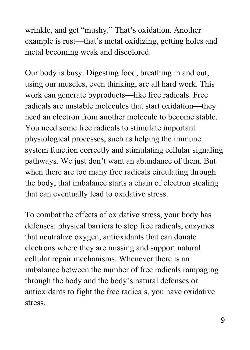wrinkle, and get "mushy." That's oxidation. Another example is rust—that's metal oxidizing, getting holes and metal becoming weak and discolored.

Our body is busy. Digesting food, breathing in and out, using our muscles, even thinking, are all hard work. This work can generate byproducts—like free radicals. Free radicals are unstable molecules that start oxidation—they need an electron from another molecule to become stable. You need some free radicals to stimulate important physiological processes, such as helping the immune system function correctly and stimulating cellular signaling pathways. We just don't want an abundance of them. But when there are too many free radicals circulating through the body, that imbalance starts a chain of electron stealing that can eventually lead to oxidative stress.

To combat the effects of oxidative stress, your body has defenses: physical barriers to stop free radicals, enzymes that neutralize oxygen, antioxidants that can donate electrons where they are missing and support natural cellular repair mechanisms. Whenever there is an imbalance between the number of free radicals rampaging through the body and the body's natural defenses or antioxidants to fight the free radicals, you have oxidative stress.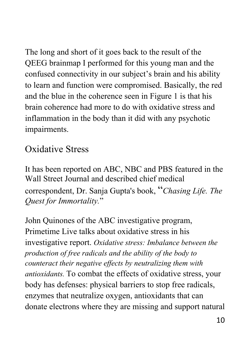The long and short of it goes back to the result of the QEEG brainmap I performed for this young man and the confused connectivity in our subject's brain and his ability to learn and function were compromised. Basically, the red and the blue in the coherence seen in Figure 1 is that his brain coherence had more to do with oxidative stress and inflammation in the body than it did with any psychotic impairments.

## Oxidative Stress

It has been reported on ABC, NBC and PBS featured in the Wall Street Journal and described chief medical correspondent, Dr. Sanja Gupta's book, "*Chasing Life. The Quest for Immortality.*"

John Quinones of the ABC investigative program, Primetime Live talks about oxidative stress in his investigative report. *Oxidative stress: Imbalance between the production of free radicals and the ability of the body to counteract their negative effects by neutralizing them with antioxidants.* To combat the effects of oxidative stress, your body has defenses: physical barriers to stop free radicals, enzymes that neutralize oxygen, antioxidants that can donate electrons where they are missing and support natural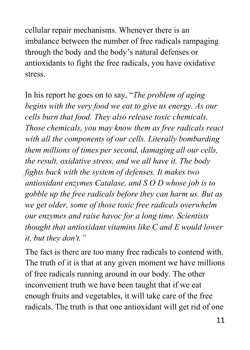cellular repair mechanisms. Whenever there is an imbalance between the number of free radicals rampaging through the body and the body's natural defenses or antioxidants to fight the free radicals, you have oxidative stress.

In his report he goes on to say, "*The problem of aging begins with the very food we eat to give us energy. As our cells burn that food. They also release toxic chemicals. Those chemicals, you may know them as free radicals react with all the components of our cells. Literally bombarding them millions of times per second, damaging all our cells, the result, oxidative stress, and we all have it. The body fights back with the system of defenses. It makes two antioxidant enzymes Catalase, and S O D whose job is to gobble up the free radicals before they can harm us. But as we get older, some of those toxic free radicals overwhelm our enzymes and raise havoc for a long time. Scientists thought that antioxidant vitamins like C and E would lower it, but they don't."*

The fact is there are too many free radicals to contend with. The truth of it is that at any given moment we have millions of free radicals running around in our body. The other inconvenient truth we have been taught that if we eat enough fruits and vegetables, it will take care of the free radicals. The truth is that one antioxidant will get rid of one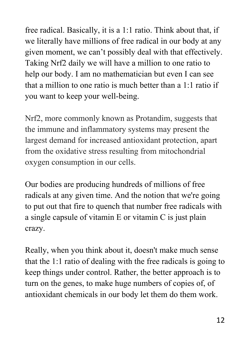free radical. Basically, it is a 1:1 ratio. Think about that, if we literally have millions of free radical in our body at any given moment, we can't possibly deal with that effectively. Taking Nrf2 daily we will have a million to one ratio to help our body. I am no mathematician but even I can see that a million to one ratio is much better than a 1:1 ratio if you want to keep your well-being.

Nrf2, more commonly known as Protandim, suggests that the immune and inflammatory systems may present the largest demand for increased antioxidant protection, apart from the oxidative stress resulting from mitochondrial oxygen consumption in our cells.

Our bodies are producing hundreds of millions of free radicals at any given time. And the notion that we're going to put out that fire to quench that number free radicals with a single capsule of vitamin E or vitamin C is just plain crazy.

Really, when you think about it, doesn't make much sense that the 1:1 ratio of dealing with the free radicals is going to keep things under control. Rather, the better approach is to turn on the genes, to make huge numbers of copies of, of antioxidant chemicals in our body let them do them work.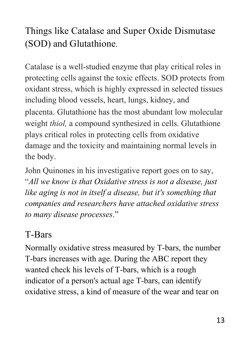# Things like Catalase and Super Oxide Dismutase (SOD) and Glutathione.

Catalase is a well-studied enzyme that play critical roles in protecting cells against the toxic effects. SOD protects from oxidant stress, which is highly expressed in selected tissues including blood vessels, heart, lungs, kidney, and placenta. Glutathione has the most abundant low molecular weight *thiol,* a compound synthesized in cells. Glutathione plays critical roles in protecting cells from oxidative damage and the toxicity and maintaining normal levels in the body.

John Quinones in his investigative report goes on to say, "*All we know is that Oxidative stress is not a disease, just like aging is not in itself a disease, but it's something that companies and researchers have attached oxidative stress to many disease processes*."

# T-Bars

Normally oxidative stress measured by T-bars, the number T-bars increases with age. During the ABC report they wanted check his levels of T-bars, which is a rough indicator of a person's actual age T-bars, can identify oxidative stress, a kind of measure of the wear and tear on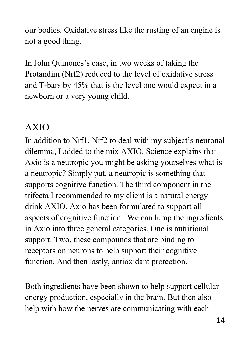our bodies. Oxidative stress like the rusting of an engine is not a good thing.

In John Quinones's case, in two weeks of taking the Protandim (Nrf2) reduced to the level of oxidative stress and T-bars by 45% that is the level one would expect in a newborn or a very young child.

# AXIO

In addition to Nrf1, Nrf2 to deal with my subject's neuronal dilemma, I added to the mix AXIO. Science explains that Axio is a neutropic you might be asking yourselves what is a neutropic? Simply put, a neutropic is something that supports cognitive function. The third component in the trifecta I recommended to my client is a natural energy drink AXIO. Axio has been formulated to support all aspects of cognitive function. We can lump the ingredients in Axio into three general categories. One is nutritional support. Two, these compounds that are binding to receptors on neurons to help support their cognitive function. And then lastly, antioxidant protection.

Both ingredients have been shown to help support cellular energy production, especially in the brain. But then also help with how the nerves are communicating with each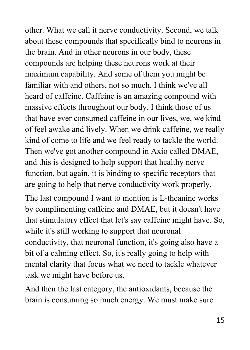other. What we call it nerve conductivity. Second, we talk about these compounds that specifically bind to neurons in the brain. And in other neurons in our body, these compounds are helping these neurons work at their maximum capability. And some of them you might be familiar with and others, not so much. I think we've all heard of caffeine. Caffeine is an amazing compound with massive effects throughout our body. I think those of us that have ever consumed caffeine in our lives, we, we kind of feel awake and lively. When we drink caffeine, we really kind of come to life and we feel ready to tackle the world. Then we've got another compound in Axio called DMAE, and this is designed to help support that healthy nerve function, but again, it is binding to specific receptors that are going to help that nerve conductivity work properly.

The last compound I want to mention is L-theanine works by complimenting caffeine and DMAE, but it doesn't have that stimulatory effect that let's say caffeine might have. So, while it's still working to support that neuronal conductivity, that neuronal function, it's going also have a bit of a calming effect. So, it's really going to help with mental clarity that focus what we need to tackle whatever task we might have before us.

And then the last category, the antioxidants, because the brain is consuming so much energy. We must make sure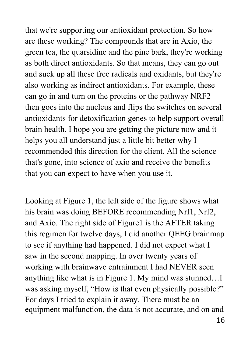that we're supporting our antioxidant protection. So how are these working? The compounds that are in Axio, the green tea, the quarsidine and the pine bark, they're working as both direct antioxidants. So that means, they can go out and suck up all these free radicals and oxidants, but they're also working as indirect antioxidants. For example, these can go in and turn on the proteins or the pathway NRF2 then goes into the nucleus and flips the switches on several antioxidants for detoxification genes to help support overall brain health. I hope you are getting the picture now and it helps you all understand just a little bit better why I recommended this direction for the client. All the science that's gone, into science of axio and receive the benefits that you can expect to have when you use it.

Looking at Figure 1, the left side of the figure shows what his brain was doing BEFORE recommending Nrf1, Nrf2, and Axio. The right side of Figure1 is the AFTER taking this regimen for twelve days, I did another QEEG brainmap to see if anything had happened. I did not expect what I saw in the second mapping. In over twenty years of working with brainwave entrainment I had NEVER seen anything like what is in Figure 1. My mind was stunned…I was asking myself, "How is that even physically possible?" For days I tried to explain it away. There must be an equipment malfunction, the data is not accurate, and on and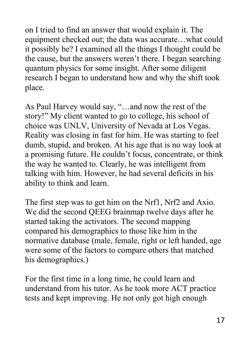on I tried to find an answer that would explain it. The equipment checked out; the data was accurate…what could it possibly be? I examined all the things I thought could be the cause, but the answers weren't there. I began searching quantum physics for some insight. After some diligent research I began to understand how and why the shift took place.

As Paul Harvey would say, "…and now the rest of the story!" My client wanted to go to college, his school of choice was UNLV, University of Nevada at Los Vegas. Reality was closing in fast for him. He was starting to feel dumb, stupid, and broken. At his age that is no way look at a promising future. He couldn't focus, concentrate, or think the way he wanted to. Clearly, he was intelligent from talking with him. However, he had several deficits in his ability to think and learn.

The first step was to get him on the Nrf1, Nrf2 and Axio. We did the second QEEG brainmap twelve days after he started taking the activators. The second mapping compared his demographics to those like him in the normative database (male, female, right or left handed, age were some of the factors to compare others that matched his demographics.)

For the first time in a long time, he could learn and understand from his tutor. As he took more ACT practice tests and kept improving. He not only got high enough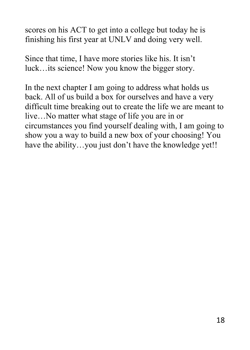scores on his ACT to get into a college but today he is finishing his first year at UNLV and doing very well.

Since that time, I have more stories like his. It isn't luck…its science! Now you know the bigger story.

In the next chapter I am going to address what holds us back. All of us build a box for ourselves and have a very difficult time breaking out to create the life we are meant to live…No matter what stage of life you are in or circumstances you find yourself dealing with, I am going to show you a way to build a new box of your choosing! You have the ability...you just don't have the knowledge yet!!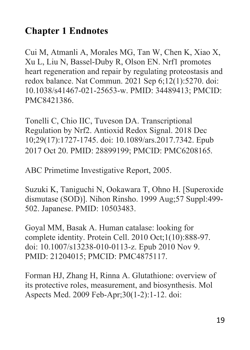## **Chapter 1 Endnotes**

Cui M, Atmanli A, Morales MG, Tan W, Chen K, Xiao X, Xu L, Liu N, Bassel-Duby R, Olson EN. Nrf1 promotes heart regeneration and repair by regulating proteostasis and redox balance. Nat Commun. 2021 Sep 6;12(1):5270. doi: 10.1038/s41467-021-25653-w. PMID: 34489413; PMCID: PMC8421386.

Tonelli C, Chio IIC, Tuveson DA. Transcriptional Regulation by Nrf2. Antioxid Redox Signal. 2018 Dec 10;29(17):1727-1745. doi: 10.1089/ars.2017.7342. Epub 2017 Oct 20. PMID: 28899199; PMCID: PMC6208165.

ABC Primetime Investigative Report, 2005.

Suzuki K, Taniguchi N, Ookawara T, Ohno H. [Superoxide dismutase (SOD)]. Nihon Rinsho. 1999 Aug;57 Suppl:499- 502. Japanese. PMID: 10503483.

Goyal MM, Basak A. Human catalase: looking for complete identity. Protein Cell. 2010 Oct;1(10):888-97. doi: 10.1007/s13238-010-0113-z. Epub 2010 Nov 9. PMID: 21204015; PMCID: PMC4875117.

Forman HJ, Zhang H, Rinna A. Glutathione: overview of its protective roles, measurement, and biosynthesis. Mol Aspects Med. 2009 Feb-Apr;30(1-2):1-12. doi: